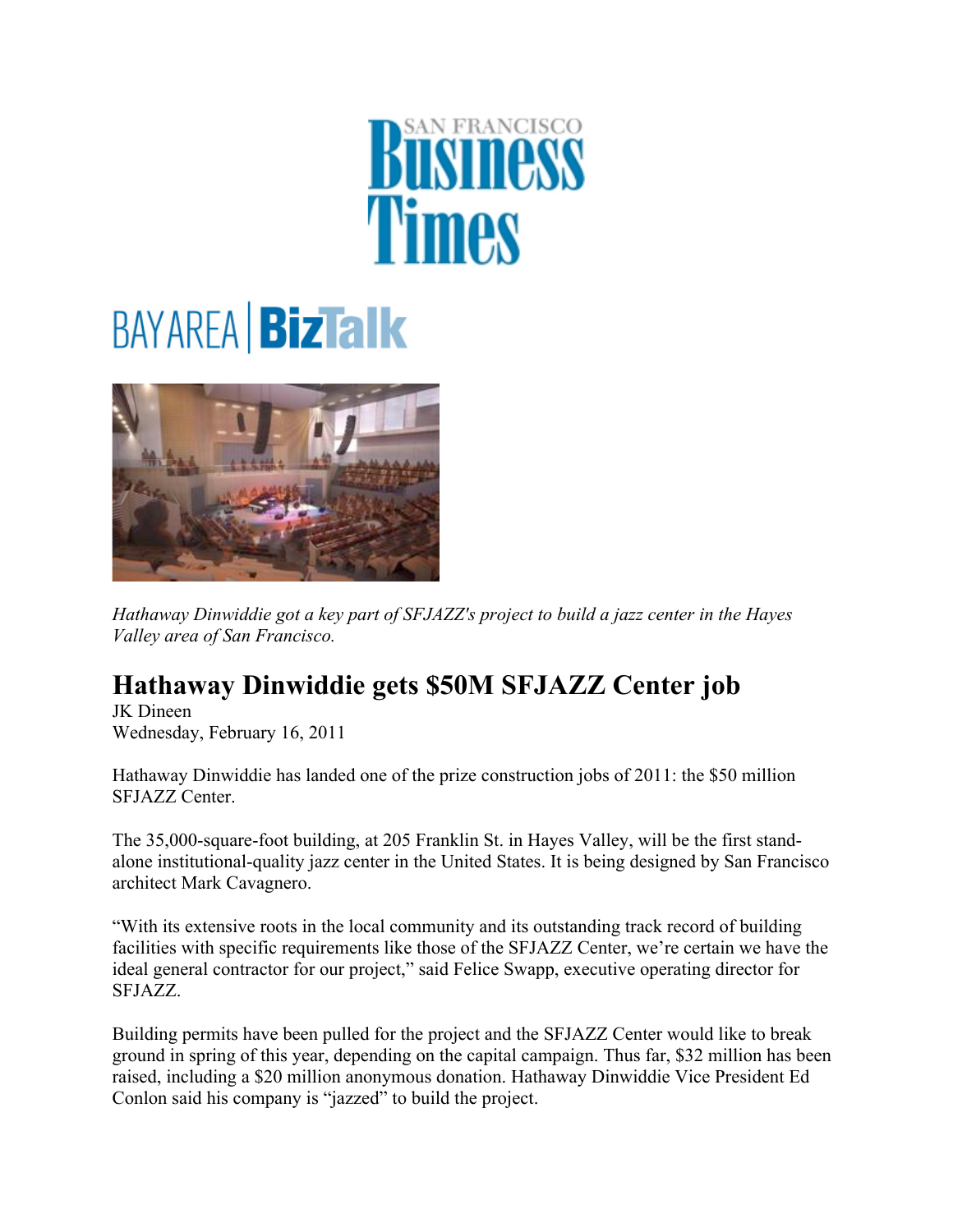## *Fimes*

## **BAYAREA BizTalk**



*Hathaway Dinwiddie got a key part of SFJAZZ's project to build a jazz center in the Hayes Valley area of San Francisco.* 

## **Hathaway Dinwiddie gets \$50M SFJAZZ Center job**

JK Dineen Wednesday, February 16, 2011

Hathaway Dinwiddie has landed one of the prize construction jobs of 2011: the \$50 million SFJAZZ Center.

The 35,000-square-foot building, at 205 Franklin St. in Hayes Valley, will be the first standalone institutional-quality jazz center in the United States. It is being designed by San Francisco architect Mark Cavagnero.

"With its extensive roots in the local community and its outstanding track record of building facilities with specific requirements like those of the SFJAZZ Center, we're certain we have the ideal general contractor for our project," said Felice Swapp, executive operating director for SFJAZZ.

Building permits have been pulled for the project and the SFJAZZ Center would like to break ground in spring of this year, depending on the capital campaign. Thus far, \$32 million has been raised, including a \$20 million anonymous donation. Hathaway Dinwiddie Vice President Ed Conlon said his company is "jazzed" to build the project.